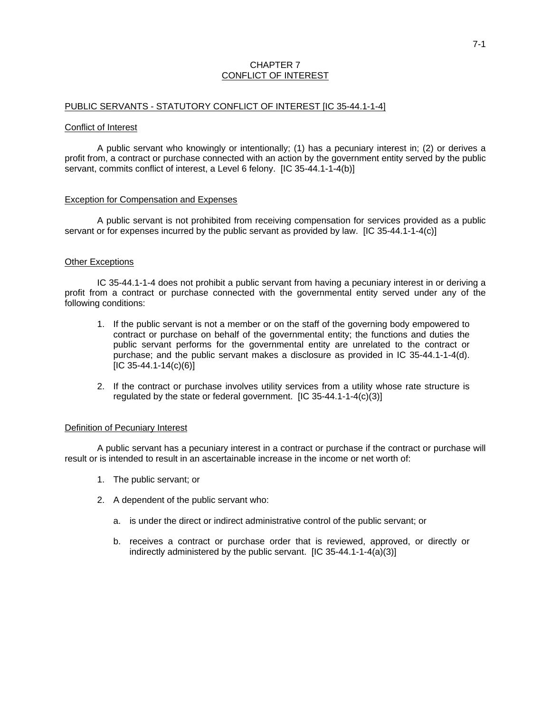## CHAPTER 7 CONFLICT OF INTEREST

### PUBLIC SERVANTS - STATUTORY CONFLICT OF INTEREST [IC 35-44.1-1-4]

#### Conflict of Interest

A public servant who knowingly or intentionally; (1) has a pecuniary interest in; (2) or derives a profit from, a contract or purchase connected with an action by the government entity served by the public servant, commits conflict of interest, a Level 6 felony. [IC 35-44.1-1-4(b)]

### Exception for Compensation and Expenses

A public servant is not prohibited from receiving compensation for services provided as a public servant or for expenses incurred by the public servant as provided by law. [IC 35-44.1-1-4(c)]

### Other Exceptions

IC 35-44.1-1-4 does not prohibit a public servant from having a pecuniary interest in or deriving a profit from a contract or purchase connected with the governmental entity served under any of the following conditions:

- 1. If the public servant is not a member or on the staff of the governing body empowered to contract or purchase on behalf of the governmental entity; the functions and duties the public servant performs for the governmental entity are unrelated to the contract or purchase; and the public servant makes a disclosure as provided in IC 35-44.1-1-4(d).  $[IC 35-44.1-14(c)(6)]$
- 2. If the contract or purchase involves utility services from a utility whose rate structure is regulated by the state or federal government. [IC 35-44.1-1-4(c)(3)]

### Definition of Pecuniary Interest

A public servant has a pecuniary interest in a contract or purchase if the contract or purchase will result or is intended to result in an ascertainable increase in the income or net worth of:

- 1. The public servant; or
- 2. A dependent of the public servant who:
	- a. is under the direct or indirect administrative control of the public servant; or
	- b. receives a contract or purchase order that is reviewed, approved, or directly or indirectly administered by the public servant. [IC 35-44.1-1-4(a)(3)]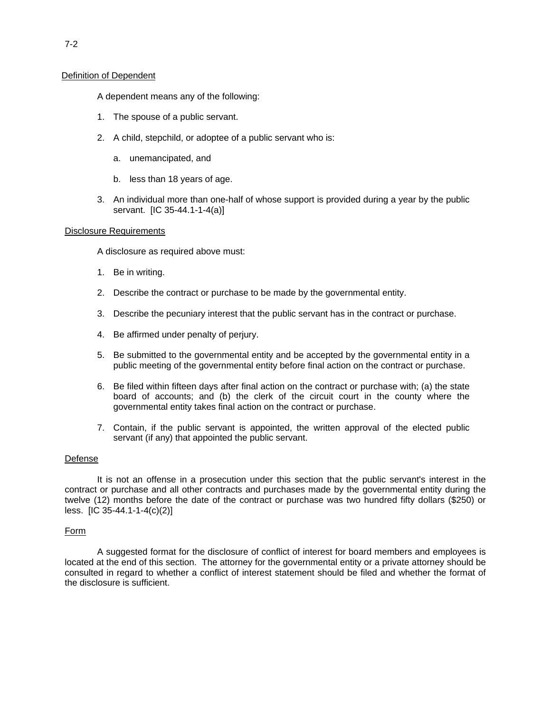## Definition of Dependent

A dependent means any of the following:

- 1. The spouse of a public servant.
- 2. A child, stepchild, or adoptee of a public servant who is:
	- a. unemancipated, and
	- b. less than 18 years of age.
- 3. An individual more than one-half of whose support is provided during a year by the public servant. [IC 35-44.1-1-4(a)]

### Disclosure Requirements

A disclosure as required above must:

- 1. Be in writing.
- 2. Describe the contract or purchase to be made by the governmental entity.
- 3. Describe the pecuniary interest that the public servant has in the contract or purchase.
- 4. Be affirmed under penalty of perjury.
- 5. Be submitted to the governmental entity and be accepted by the governmental entity in a public meeting of the governmental entity before final action on the contract or purchase.
- 6. Be filed within fifteen days after final action on the contract or purchase with; (a) the state board of accounts; and (b) the clerk of the circuit court in the county where the governmental entity takes final action on the contract or purchase.
- 7. Contain, if the public servant is appointed, the written approval of the elected public servant (if any) that appointed the public servant.

### Defense

It is not an offense in a prosecution under this section that the public servant's interest in the contract or purchase and all other contracts and purchases made by the governmental entity during the twelve (12) months before the date of the contract or purchase was two hundred fifty dollars (\$250) or less. [IC 35-44.1-1-4(c)(2)]

### Form

A suggested format for the disclosure of conflict of interest for board members and employees is located at the end of this section. The attorney for the governmental entity or a private attorney should be consulted in regard to whether a conflict of interest statement should be filed and whether the format of the disclosure is sufficient.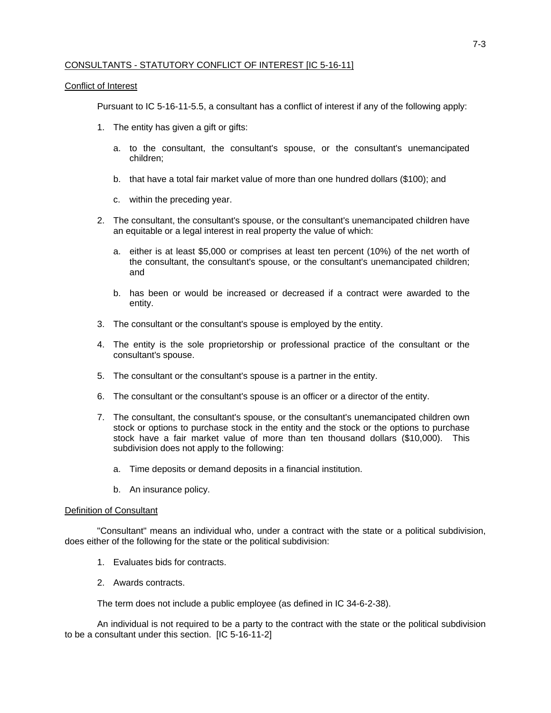## CONSULTANTS - STATUTORY CONFLICT OF INTEREST [IC 5-16-11]

## Conflict of Interest

Pursuant to IC 5-16-11-5.5, a consultant has a conflict of interest if any of the following apply:

- 1. The entity has given a gift or gifts:
	- a. to the consultant, the consultant's spouse, or the consultant's unemancipated children;
	- b. that have a total fair market value of more than one hundred dollars (\$100); and
	- c. within the preceding year.
- 2. The consultant, the consultant's spouse, or the consultant's unemancipated children have an equitable or a legal interest in real property the value of which:
	- a. either is at least \$5,000 or comprises at least ten percent (10%) of the net worth of the consultant, the consultant's spouse, or the consultant's unemancipated children; and
	- b. has been or would be increased or decreased if a contract were awarded to the entity.
- 3. The consultant or the consultant's spouse is employed by the entity.
- 4. The entity is the sole proprietorship or professional practice of the consultant or the consultant's spouse.
- 5. The consultant or the consultant's spouse is a partner in the entity.
- 6. The consultant or the consultant's spouse is an officer or a director of the entity.
- 7. The consultant, the consultant's spouse, or the consultant's unemancipated children own stock or options to purchase stock in the entity and the stock or the options to purchase stock have a fair market value of more than ten thousand dollars (\$10,000). This subdivision does not apply to the following:
	- a. Time deposits or demand deposits in a financial institution.
	- b. An insurance policy.

## Definition of Consultant

"Consultant" means an individual who, under a contract with the state or a political subdivision, does either of the following for the state or the political subdivision:

- 1. Evaluates bids for contracts.
- 2. Awards contracts.

The term does not include a public employee (as defined in IC 34-6-2-38).

An individual is not required to be a party to the contract with the state or the political subdivision to be a consultant under this section. [IC 5-16-11-2]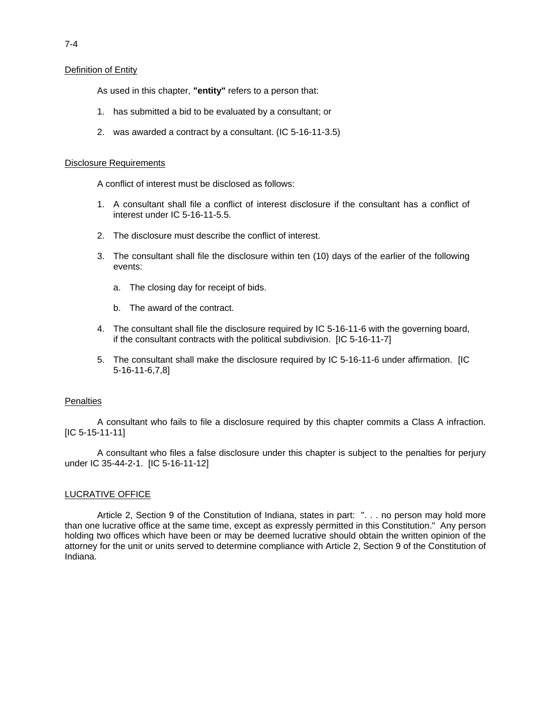## Definition of Entity

As used in this chapter, **"entity"** refers to a person that:

- 1. has submitted a bid to be evaluated by a consultant; or
- 2. was awarded a contract by a consultant. (IC 5-16-11-3.5)

## Disclosure Requirements

A conflict of interest must be disclosed as follows:

- 1. A consultant shall file a conflict of interest disclosure if the consultant has a conflict of interest under IC 5-16-11-5.5.
- 2. The disclosure must describe the conflict of interest.
- 3. The consultant shall file the disclosure within ten (10) days of the earlier of the following events:
	- a. The closing day for receipt of bids.
	- b. The award of the contract.
- 4. The consultant shall file the disclosure required by IC 5-16-11-6 with the governing board, if the consultant contracts with the political subdivision. [IC 5-16-11-7]
- 5. The consultant shall make the disclosure required by IC 5-16-11-6 under affirmation. [IC 5-16-11-6,7,8]

### **Penalties**

A consultant who fails to file a disclosure required by this chapter commits a Class A infraction. [IC 5-15-11-11]

A consultant who files a false disclosure under this chapter is subject to the penalties for perjury under IC 35-44-2-1. [IC 5-16-11-12]

## LUCRATIVE OFFICE

Article 2, Section 9 of the Constitution of Indiana, states in part: ". . . no person may hold more than one lucrative office at the same time, except as expressly permitted in this Constitution." Any person holding two offices which have been or may be deemed lucrative should obtain the written opinion of the attorney for the unit or units served to determine compliance with Article 2, Section 9 of the Constitution of Indiana.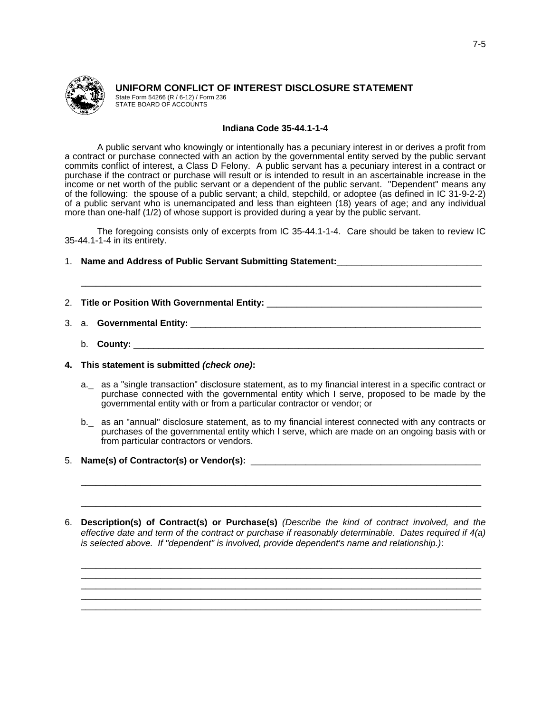

# **UNIFORM CONFLICT OF INTEREST DISCLOSURE STATEMENT**

State Form 54266 (R / 6-12) / Form 236 STATE BOARD OF ACCOUNTS

## **Indiana Code 35-44.1-1-4**

A public servant who knowingly or intentionally has a pecuniary interest in or derives a profit from a contract or purchase connected with an action by the governmental entity served by the public servant commits conflict of interest, a Class D Felony. A public servant has a pecuniary interest in a contract or purchase if the contract or purchase will result or is intended to result in an ascertainable increase in the income or net worth of the public servant or a dependent of the public servant. "Dependent" means any of the following: the spouse of a public servant; a child, stepchild, or adoptee (as defined in IC 31-9-2-2) of a public servant who is unemancipated and less than eighteen (18) years of age; and any individual more than one-half (1/2) of whose support is provided during a year by the public servant.

The foregoing consists only of excerpts from IC 35-44.1-1-4. Care should be taken to review IC 35-44.1-1-4 in its entirety.

1. **Name and Address of Public Servant Submitting Statement:**\_\_\_\_\_\_\_\_\_\_\_\_\_\_\_\_\_\_\_\_\_\_\_\_\_\_\_\_\_

- 2. Title or Position With Governmental Entity:
- 3. a. **Governmental Entity:** \_\_\_\_\_\_\_\_\_\_\_\_\_\_\_\_\_\_\_\_\_\_\_\_\_\_\_\_\_\_\_\_\_\_\_\_\_\_\_\_\_\_\_\_\_\_\_\_\_\_\_\_\_\_\_\_\_\_
	- b. **County:** \_\_\_\_\_\_\_\_\_\_\_\_\_\_\_\_\_\_\_\_\_\_\_\_\_\_\_\_\_\_\_\_\_\_\_\_\_\_\_\_\_\_\_\_\_\_\_\_\_\_\_\_\_\_\_\_\_\_\_\_\_\_\_\_\_\_\_\_\_\_

\_\_\_\_\_\_\_\_\_\_\_\_\_\_\_\_\_\_\_\_\_\_\_\_\_\_\_\_\_\_\_\_\_\_\_\_\_\_\_\_\_\_\_\_\_\_\_\_\_\_\_\_\_\_\_\_\_\_\_\_\_\_\_\_\_\_\_\_\_\_\_\_\_\_\_\_\_\_\_\_

- **4. This statement is submitted** *(check one)***:** 
	- a.\_ as a "single transaction" disclosure statement, as to my financial interest in a specific contract or purchase connected with the governmental entity which I serve, proposed to be made by the governmental entity with or from a particular contractor or vendor; or
	- b.\_ as an "annual" disclosure statement, as to my financial interest connected with any contracts or purchases of the governmental entity which I serve, which are made on an ongoing basis with or from particular contractors or vendors.

\_\_\_\_\_\_\_\_\_\_\_\_\_\_\_\_\_\_\_\_\_\_\_\_\_\_\_\_\_\_\_\_\_\_\_\_\_\_\_\_\_\_\_\_\_\_\_\_\_\_\_\_\_\_\_\_\_\_\_\_\_\_\_\_\_\_\_\_\_\_\_\_\_\_\_\_\_\_\_\_

\_\_\_\_\_\_\_\_\_\_\_\_\_\_\_\_\_\_\_\_\_\_\_\_\_\_\_\_\_\_\_\_\_\_\_\_\_\_\_\_\_\_\_\_\_\_\_\_\_\_\_\_\_\_\_\_\_\_\_\_\_\_\_\_\_\_\_\_\_\_\_\_\_\_\_\_\_\_\_\_

- 5. **Name(s) of Contractor(s) or Vendor(s):** \_\_\_\_\_\_\_\_\_\_\_\_\_\_\_\_\_\_\_\_\_\_\_\_\_\_\_\_\_\_\_\_\_\_\_\_\_\_\_\_\_\_\_\_\_\_
- 6. **Description(s) of Contract(s) or Purchase(s)** *(Describe the kind of contract involved, and the effective date and term of the contract or purchase if reasonably determinable. Dates required if 4(a) is selected above. If "dependent" is involved, provide dependent's name and relationship.)*:

\_\_\_\_\_\_\_\_\_\_\_\_\_\_\_\_\_\_\_\_\_\_\_\_\_\_\_\_\_\_\_\_\_\_\_\_\_\_\_\_\_\_\_\_\_\_\_\_\_\_\_\_\_\_\_\_\_\_\_\_\_\_\_\_\_\_\_\_\_\_\_\_\_\_\_\_\_\_\_\_ \_\_\_\_\_\_\_\_\_\_\_\_\_\_\_\_\_\_\_\_\_\_\_\_\_\_\_\_\_\_\_\_\_\_\_\_\_\_\_\_\_\_\_\_\_\_\_\_\_\_\_\_\_\_\_\_\_\_\_\_\_\_\_\_\_\_\_\_\_\_\_\_\_\_\_\_\_\_\_\_ \_\_\_\_\_\_\_\_\_\_\_\_\_\_\_\_\_\_\_\_\_\_\_\_\_\_\_\_\_\_\_\_\_\_\_\_\_\_\_\_\_\_\_\_\_\_\_\_\_\_\_\_\_\_\_\_\_\_\_\_\_\_\_\_\_\_\_\_\_\_\_\_\_\_\_\_\_\_\_\_ \_\_\_\_\_\_\_\_\_\_\_\_\_\_\_\_\_\_\_\_\_\_\_\_\_\_\_\_\_\_\_\_\_\_\_\_\_\_\_\_\_\_\_\_\_\_\_\_\_\_\_\_\_\_\_\_\_\_\_\_\_\_\_\_\_\_\_\_\_\_\_\_\_\_\_\_\_\_\_\_ \_\_\_\_\_\_\_\_\_\_\_\_\_\_\_\_\_\_\_\_\_\_\_\_\_\_\_\_\_\_\_\_\_\_\_\_\_\_\_\_\_\_\_\_\_\_\_\_\_\_\_\_\_\_\_\_\_\_\_\_\_\_\_\_\_\_\_\_\_\_\_\_\_\_\_\_\_\_\_\_